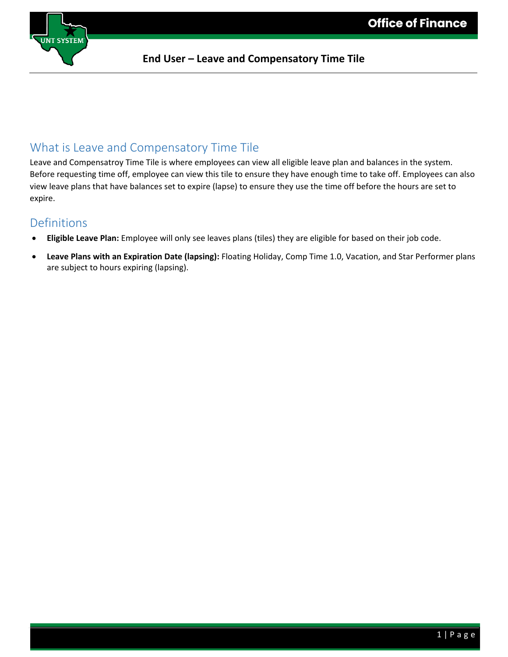

#### **End User – Leave and Compensatory Time Tile**

**E**

### What is Leave and Compensatory Time Tile

Leave and Compensatroy Time Tile is where employees can view all eligible leave plan and balances in the system. Before requesting time off, employee can view this tile to ensure they have enough time to take off. Employees can also view leave plans that have balances set to expire (lapse) to ensure they use the time off before the hours are set to expire.

### Definitions

- **Eligible Leave Plan:** Employee will only see leaves plans (tiles) they are eligible for based on their job code.
- **Leave Plans with an Expiration Date (lapsing):** Floating Holiday, Comp Time 1.0, Vacation, and Star Performer plans are subject to hours expiring (lapsing).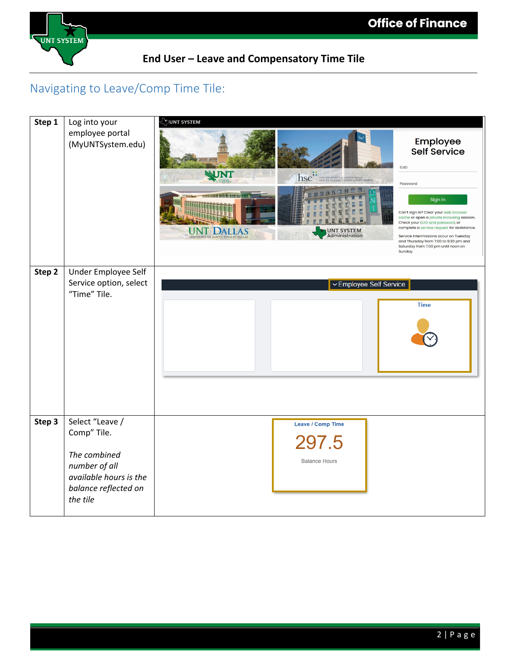

#### **End User – Leave and Compensatory Time Tile**

**E**

### Navigating to Leave/Comp Time Tile: